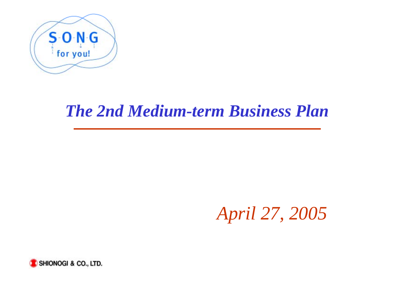

# *The 2nd Medium-term Business Plan*

*April 27, 2005*

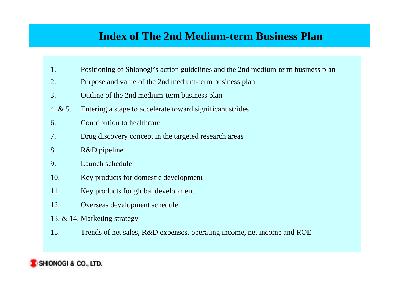### **Index of The 2nd Medium-term Business Plan**

- 1. Positioning of Shionogi's action guidelines and the 2nd medium-term business plan
- 2. Purpose and value of the 2nd medium-term business plan
- 3. Outline of the 2nd medium-term business plan
- 4.  $& 5.$  Entering a stage to accelerate toward significant strides
- 6. 6. Contribution to healthcare Contribution to healthcare
- 7. Drug discovery concept in the targeted research areas
- 8. R&D pipeline
- 9. 9. Launch schedule Launch schedule
- 10.Key products for domestic development Key products for domestic development
- 11.Key products for global development
- 12.Overseas development schedule
- 13. & 14. Marketing strategy
- 15.Trends of net sales, R&D expenses, operating income, net income and ROE

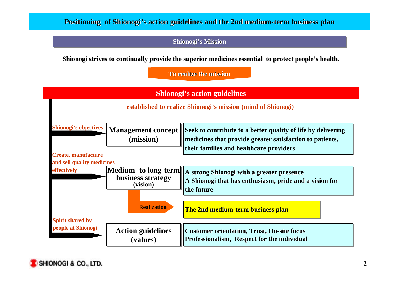#### **Positioning of Shionogi's action guidelines and the 2nd medium-term business plan**

#### **Shionogi's Mission**

**Shionogi strives to continually provide the superior medicines essential to protect people's health.** 

**To realize the mission**



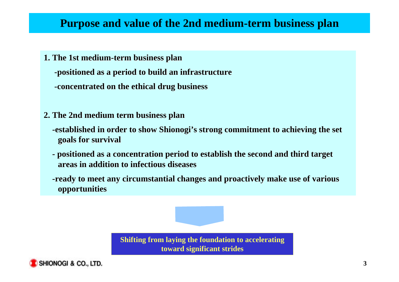### **Purpose and value of the 2nd medium-term business plan**

- **1. The 1st medium-term business plan The 1st medium-term business plan -positioned as a period to build an infrastructure -positioned as a to build an infrastructure -concentrated on the ethical drug business -concentrated on the ethical drug business**
- **2. The 2nd medium term business plan 2. The 2nd medium term business plan**
	- **-established in order to show Shionogi -established in order to show Shionogi's strong commitment to achieving the set s strong commitment to achieving the set goals for survival goals for survival**
	- **positioned as a concentration period to establish the second and third target positioned as a concentration period to establish the second and third target areas in addition to infectious diseases areas in addition to infectious diseases**
	- **-ready to meet any circumstantial changes and proactively make use of various -ready to meet any circumstantial changes and proactively make use of various opportunities opportunities**

**Shifting from laying the foundation to accelerating toward significant strides**

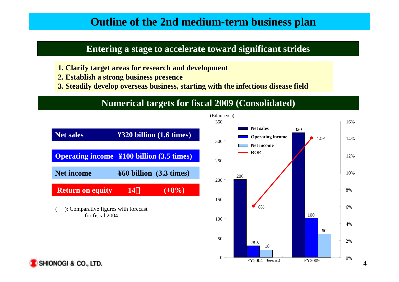### **Outline of the 2nd medium-term business plan**

### **Entering a stage to accelerate toward significant strides**

- **1. Clarify target areas for research and development**
- **2. Establish a strong business presence 2. Establish a strong business presence**
- **3. Steadily develop overseas business, starting with the infectious disease field**

### **Numerical targets for fiscal 2009 (Consolidated)**



2%

4%

6%

8%

10%

12%

14%

16%

320

100

60

 $\begin{array}{|c|c|c|c|c|c|c|c|} \hline \multicolumn{1}{c|}{\textbf{FY2009}} & 0\% \hline \end{array}$ 

14%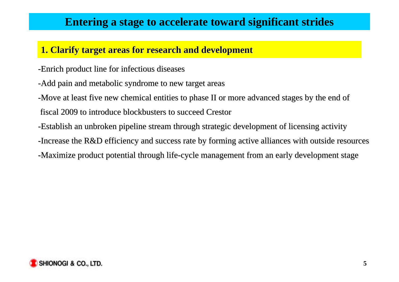### **Entering a stage to accelerate toward significant strides**

### **1. Clarify target areas for research and development**

- -Enrich product line for infectious diseases
- -Add pain and metabolic syndrome to new target areas
- -Move at least five new chemical entities to phase II or more advanced stages by the end of fiscal 2009 to introduce blockbusters to succeed Crestor fiscal 2009 to introduce blockbusters to succeed Crestor
- -Establish an unbroken pipeline stream through strategic development of licensing activity
- -Increase the R&D efficiency and success rate by forming active alliances with outside resources
- -Maximize product potential through life-cycle management from an early development stage

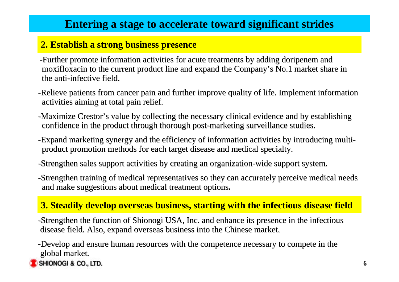## **Entering a stage to accelerate toward significant strides**

### **2. Establish a strong business presence**

- -Further promote information activities for acute treatments by adding doripenem and moxifloxacin to the current product line and expand the Company's No.1 market share in the anti-infective field.
- -Relieve patients from cancer pain and further improve quality of life. Implement information activities aiming at total pain relief.
- -Maximize Crestor's value by collecting the necessary clinical evidence and by establishing confidence in the product through thorough post-marketing surveillance studies.
- -Expand marketing synergy and the efficiency of information activities by introducing multiproduct promotion methods for each target disease and medical specialty.
- -Strengthen sales support activities by creating an organization-wide support system.
- -Strengthen training of medical representatives so they can accurately perceive medical needs and make suggestions about medical treatment options.

### **3. Steadily develop overseas business, starting with the infectious disease field**

-Strengthen the function of Shionogi USA, Inc. and enhance its presence in the infectious disease field. Also, expand overseas business into the Chinese market.

-Develop and ensure human resources with the competence necessary to compete in the global market.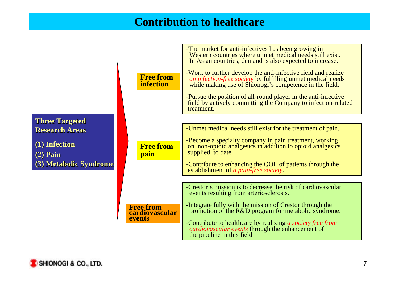### **Contribution to healthcare**



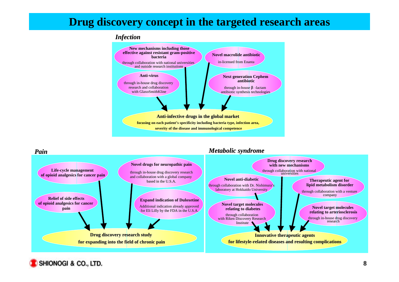### **Drug discovery concept in the targeted research areas**

#### *Infection Infection*



#### *Pain*



*Metabolic syndrome Metabolic syndrome*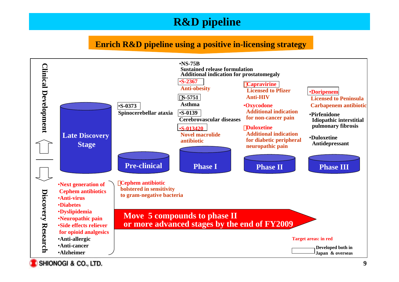## **R&D pipeline**

#### **Enrich R&D pipeline using a positive in-licensing strategy**

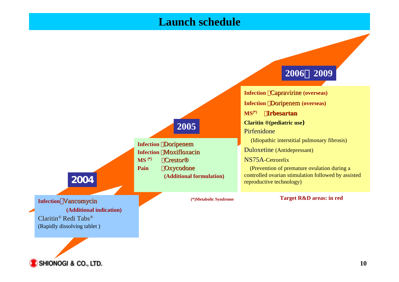### **Launch schedule**

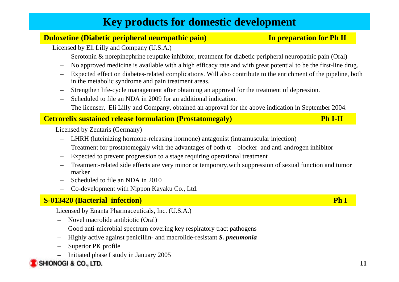## **Key products for domestic development**

#### **Duloxetine (Diabetic peripheral neuropathic pain) In preparation for Ph II**

Licensed by Eli Lilly and Company (U.S.A.)

- Serotonin & norepinephrine reuptake inhibitor, treatment for diabetic peripheral neuropathic pain (Oral)
- No approved medicine is available with a high efficacy rate and with great potential to be the first-line drug.
- Expected effect on diabetes-related complications. Will also contribute to the enrichment of the pipeline, both in the metabolic syndrome and pain treatment areas.
- –Strengthen life-cycle management after obtaining an approval for the treatment of depression.
- Scheduled to file an NDA in 2009 for an additional indication.
- The licenser, Eli Lilly and Company, obtained an approval for the above indication in September 2004.

#### **Cetrorelix sustained release formulation (Prostatomegaly) Ph I-II**

Licensed by Zentaris (Germany)

- LHRH (luteinizing hormone-releasing hormone) antagonist (intramuscular injection)
- Treatment for prostatomegaly with the advantages of both -blocker and anti-androgen inhibitor
- Expected to prevent progression to a stage requiring operational treatment
- Treatment-related side effects are very minor or temporary,with suppression of sexual function and tumor marker
- Scheduled to file an NDA in 2010
- Co-development with Nippon Kayaku Co., Ltd.

### **S-013420 (Bacterial infection) Ph I**

Licensed by Enanta Pharmaceuticals, Inc. (U.S.A.)

- –Novel macrolide antibiotic (Oral)
- –Good anti-microbial spectrum covering key respiratory tract pathogens
- –Highly active against penicillin- and macrolide-resistant *S. pneumonia*
- –Superior PK profile
- Initiated phase I study in January 2005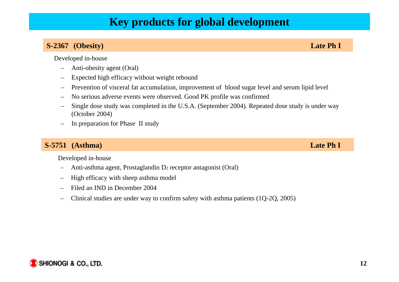### **Key products for global development**

#### **S-2367 (Obesity) Late Ph I**

Developed in-house

- Anti-obesity agent (Oral)
- –Expected high efficacy without weight rebound
- –Prevention of visceral fat accumulation, improvement of blood sugar level and serum lipid level
- –No serious adverse events were observed. Good PK profile was confirmed
- Single dose study was completed in the U.S.A. (September 2004). Repeated dose study is under way (October 2004)
- In preparation for Phase II study

#### **S-5751 (Asthma) Late Ph I**

Developed in-house

- Anti-asthma agent, Prostaglandin D<sub>2</sub> receptor antagonist (Oral)
- High efficacy with sheep asthma model
- Filed an IND in December 2004
- Clinical studies are under way to confirm safety with asthma patients (1Q-2Q, 2005)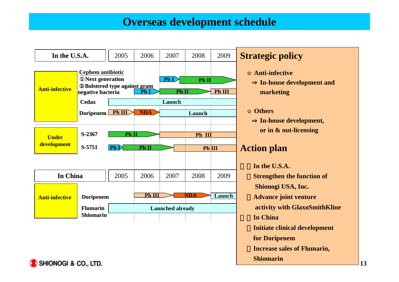### **Overseas development schedule**



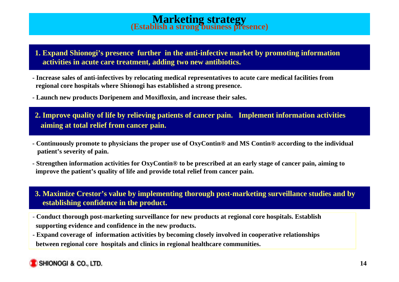# **Marketing strategy (Establish a strong business presence)**

- **1. Expand Shionogi's presence further in the anti-infective market by promoting information activities in acute care treatment, adding two new antibiotics.**
- **Increase sales of anti-infectives by relocating medical representatives to acute care medical facilities from regional core hospitals where Shionogi has established a strong presence.**
- **Launch new products Doripenem and Moxifloxin, and increase their sales.**
- **2. Improve quality of life by relieving patients of cancer pain. Implement information activities aiming at total relief from cancer pain.**
- **Continuously promote to physicians the proper use of OxyContin® and MS Contin® according to the individual patient's severity of pain.**
- **Strengthen information activities for OxyContin® to be prescribed at an early stage of cancer pain, aiming to improve the patient's quality of life and provide total relief from cancer pain.**

**3. Maximize Crestor's value by implementing thorough post-marketing surveillance studies and by establishing confidence in the product.**

- - **Conduct thorough post-marketing surveillance for new products at regional core hospitals. Establish supporting evidence and confidence in the new products.**
- **Expand coverage of information activities by becoming closely involved in cooperative relationships between regional core hospitals and clinics in regional healthcare communities.**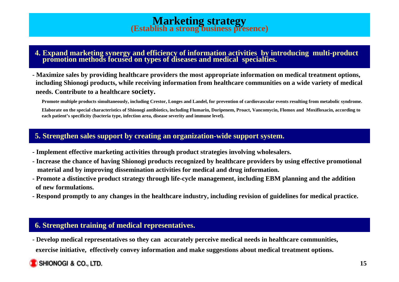# **Marketing strategy (Establish a strong business presence)**

# **4. Expand marketing synergy and efficiency of information activities by introducing multi-product promotion methods focused on types of diseases and medical specialties.**

**- Maximize sales by providing healthcare providers the most appropriate information on medical treatment options, including Shionogi products, while receiving information from healthcare communities on a wide variety of medical needs. Contribute to a healthcare society.**

**Promote multiple products simultaneously, including Crestor, Longes and Landel, for prevention of cardiovascular events resulting from metabolic syndrome.**

 **Elaborate on the special characteristics of Shionogi antibiotics, including Flumarin, Doripenem, Proact, Vancomycin, Flomox and Moxifloxacin, according to each patient's specificity (bacteria type, infection area, disease severity and immune level).**

#### **5. Strengthen sales support by creating an organization-wide support system.**

- **Implement effective marketing activities through product strategies involving wholesalers.**
- **Increase the chance of having Shionogi products recognized by healthcare providers by using effective promotional material and by improving dissemination activities for medical and drug information.**
- **Promote a distinctive product strategy through life-cycle management, including EBM planning and the addition of new formulations.**
- **Respond promptly to any changes in the healthcare industry, including revision of guidelines for medical practice.**

#### **6. Strengthen training of medical representatives.**

**- Develop medical representatives so they can accurately perceive medical needs in healthcare communities, exercise initiative, effectively convey information and make suggestions about medical treatment options.**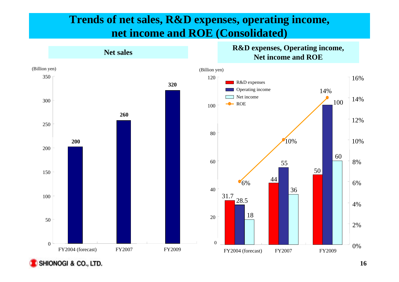### **Trends of net sales, R&D expenses, operating income, net income and ROE (Consolidated)**



**Net sales**<br>Net income and ROE

**R&D expenses, Operating income,**